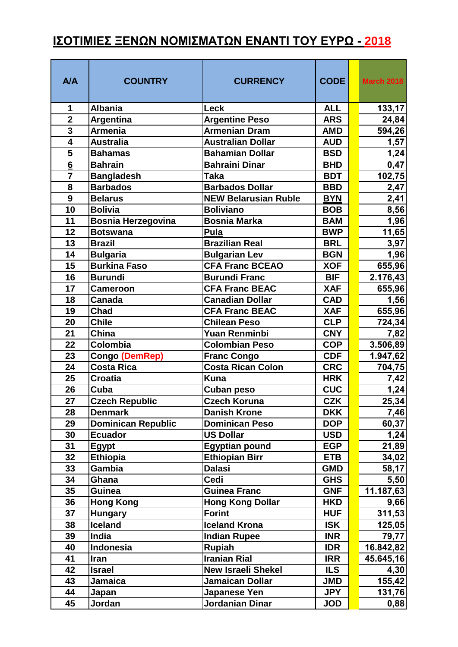## **ΙΣΟΤΙΜΙΕΣ ΞΕΝΩΝ ΝΟΜΙΣΜΑΤΩΝ ΕΝΑΝΤΙ ΤΟΥ ΕΥΡΩ - 2018**

| <b>A/A</b>      | <b>COUNTRY</b>                             | <b>CURRENCY</b>                                | <b>CODE</b>              | <b>March 2018</b> |
|-----------------|--------------------------------------------|------------------------------------------------|--------------------------|-------------------|
| 1               | <b>Albania</b>                             | Leck                                           | <b>ALL</b>               | 133,17            |
| $\overline{2}$  | <b>Argentina</b>                           | <b>Argentine Peso</b>                          | <b>ARS</b>               | 24,84             |
| $\mathbf{3}$    | <b>Armenia</b>                             | <b>Armenian Dram</b>                           | <b>AMD</b>               | 594,26            |
| 4               | <b>Australia</b>                           | <b>Australian Dollar</b>                       | <b>AUD</b>               | 1,57              |
| 5               | <b>Bahamas</b>                             | <b>Bahamian Dollar</b>                         | <b>BSD</b>               | 1,24              |
| $6\phantom{1}6$ | <b>Bahrain</b>                             | <b>Bahraini Dinar</b>                          | <b>BHD</b>               | 0,47              |
| $\overline{7}$  | <b>Bangladesh</b>                          | Taka                                           | <b>BDT</b>               | 102,75            |
| 8               | <b>Barbados</b>                            | <b>Barbados Dollar</b>                         | <b>BBD</b>               | 2,47              |
| 9               | <b>Belarus</b>                             | <b>NEW Belarusian Ruble</b>                    | <b>BYN</b>               | 2,41              |
| 10              | <b>Bolivia</b>                             | <b>Boliviano</b>                               | <b>BOB</b>               | 8,56              |
| 11              | <b>Bosnia Herzegovina</b>                  | <b>Bosnia Marka</b>                            | <b>BAM</b>               | 1,96              |
| 12              | <b>Botswana</b>                            | <b>Pula</b>                                    | <b>BWP</b>               | 11,65             |
| 13              | <b>Brazil</b>                              | <b>Brazilian Real</b>                          | <b>BRL</b>               | 3,97              |
| 14              | <b>Bulgaria</b>                            | <b>Bulgarian Lev</b>                           | <b>BGN</b>               | 1,96              |
| 15              | <b>Burkina Faso</b>                        | <b>CFA Franc BCEAO</b>                         | <b>XOF</b>               | 655,96            |
| 16              | <b>Burundi</b>                             | <b>Burundi Franc</b>                           | <b>BIF</b>               | 2.176,43          |
| 17              | <b>Cameroon</b>                            | <b>CFA Franc BEAC</b>                          | <b>XAF</b>               | 655,96            |
| 18              | <b>Canada</b>                              | <b>Canadian Dollar</b>                         | <b>CAD</b>               | 1,56              |
| 19              | <b>Chad</b>                                | <b>CFA Franc BEAC</b>                          | <b>XAF</b>               | 655,96            |
| 20              | <b>Chile</b>                               | <b>Chilean Peso</b>                            | <b>CLP</b>               | 724,34            |
| 21<br>22        | China<br>Colombia                          | <b>Yuan Renminbi</b>                           | <b>CNY</b>               | 7,82              |
| 23              |                                            | <b>Colombian Peso</b>                          | <b>COP</b>               | 3.506,89          |
| 24              | <b>Congo (DemRep)</b><br><b>Costa Rica</b> | <b>Franc Congo</b><br><b>Costa Rican Colon</b> | <b>CDF</b><br><b>CRC</b> | 1.947,62          |
| 25              | <b>Croatia</b>                             | <b>Kuna</b>                                    | <b>HRK</b>               | 704,75            |
| 26              | Cuba                                       | Cuban peso                                     | <b>CUC</b>               | 7,42<br>1,24      |
| 27              | <b>Czech Republic</b>                      | <b>Czech Koruna</b>                            | <b>CZK</b>               | 25,34             |
| 28              | <b>Denmark</b>                             | <b>Danish Krone</b>                            | <b>DKK</b>               | 7,46              |
| 29              | <b>Dominican Republic</b>                  | <b>Dominican Peso</b>                          | <b>DOP</b>               | 60,37             |
| 30              | <b>Ecuador</b>                             | <b>US Dollar</b>                               | <b>USD</b>               | 1,24              |
| 31              | <b>Egypt</b>                               | <b>Egyptian pound</b>                          | <b>EGP</b>               | 21,89             |
| 32              | <b>Ethiopia</b>                            | <b>Ethiopian Birr</b>                          | <b>ETB</b>               | 34,02             |
| 33              | <b>Gambia</b>                              | <b>Dalasi</b>                                  | <b>GMD</b>               | 58,17             |
| 34              | Ghana                                      | Cedi                                           | <b>GHS</b>               | 5,50              |
| 35              | <b>Guinea</b>                              | <b>Guinea Franc</b>                            | <b>GNF</b>               | 11.187,63         |
| 36              | <b>Hong Kong</b>                           | <b>Hong Kong Dollar</b>                        | <b>HKD</b>               | 9,66              |
| 37              | <b>Hungary</b>                             | <b>Forint</b>                                  | <b>HUF</b>               | 311,53            |
| 38              | Iceland                                    | <b>Iceland Krona</b>                           | <b>ISK</b>               | 125,05            |
| 39              | India                                      | <b>Indian Rupee</b>                            | <b>INR</b>               | 79,77             |
| 40              | Indonesia                                  | <b>Rupiah</b>                                  | <b>IDR</b>               | 16.842,82         |
| 41              | Iran                                       | <b>Iranian Rial</b>                            | <b>IRR</b>               | 45.645,16         |
| 42              | <b>Israel</b>                              | <b>New Israeli Shekel</b>                      | <b>ILS</b>               | 4,30              |
| 43              | <b>Jamaica</b>                             | <b>Jamaican Dollar</b>                         | <b>JMD</b>               | 155,42            |
| 44              | Japan                                      | Japanese Yen                                   | <b>JPY</b>               | 131,76            |
| 45              | Jordan                                     | Jordanian Dinar                                | <b>JOD</b>               | 0,88              |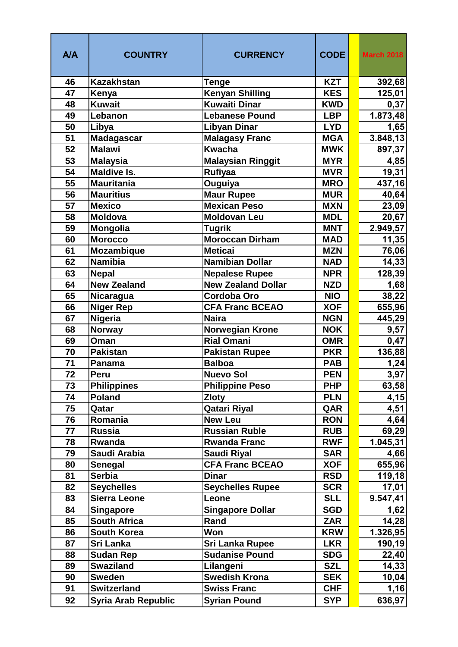| A/A | <b>COUNTRY</b>             | <b>CURRENCY</b>           | <b>CODE</b> | <b>March 2018</b> |
|-----|----------------------------|---------------------------|-------------|-------------------|
| 46  | <b>Kazakhstan</b>          | <b>Tenge</b>              | <b>KZT</b>  | 392,68            |
| 47  | Kenya                      | <b>Kenyan Shilling</b>    | <b>KES</b>  | 125,01            |
| 48  | <b>Kuwait</b>              | <b>Kuwaiti Dinar</b>      | <b>KWD</b>  | 0,37              |
| 49  | Lebanon                    | <b>Lebanese Pound</b>     | <b>LBP</b>  | 1.873,48          |
| 50  | Libya                      | <b>Libyan Dinar</b>       | <b>LYD</b>  | 1,65              |
| 51  | <b>Madagascar</b>          | <b>Malagasy Franc</b>     | <b>MGA</b>  | 3.848,13          |
| 52  | <b>Malawi</b>              | <b>Kwacha</b>             | <b>MWK</b>  | 897,37            |
| 53  | <b>Malaysia</b>            | <b>Malaysian Ringgit</b>  | <b>MYR</b>  | 4,85              |
| 54  | <b>Maldive Is.</b>         | <b>Rufiyaa</b>            | <b>MVR</b>  | 19,31             |
| 55  | <b>Mauritania</b>          | Ouguiya                   | <b>MRO</b>  | 437,16            |
| 56  | <b>Mauritius</b>           | <b>Maur Rupee</b>         | <b>MUR</b>  | 40,64             |
| 57  | <b>Mexico</b>              | <b>Mexican Peso</b>       | <b>MXN</b>  | 23,09             |
| 58  | <b>Moldova</b>             | <b>Moldovan Leu</b>       | <b>MDL</b>  | 20,67             |
| 59  | <b>Mongolia</b>            | <b>Tugrik</b>             | <b>MNT</b>  | 2.949,57          |
| 60  | <b>Morocco</b>             | <b>Moroccan Dirham</b>    | <b>MAD</b>  | 11,35             |
| 61  | Mozambique                 | <b>Meticai</b>            | <b>MZN</b>  | 76,06             |
| 62  | <b>Namibia</b>             | <b>Namibian Dollar</b>    | <b>NAD</b>  | 14,33             |
| 63  | <b>Nepal</b>               | <b>Nepalese Rupee</b>     | <b>NPR</b>  | 128,39            |
| 64  | <b>New Zealand</b>         | <b>New Zealand Dollar</b> | <b>NZD</b>  | 1,68              |
| 65  | <b>Nicaragua</b>           | <b>Cordoba Oro</b>        | <b>NIO</b>  | 38,22             |
| 66  | <b>Niger Rep</b>           | <b>CFA Franc BCEAO</b>    | <b>XOF</b>  | 655,96            |
| 67  | Nigeria                    | <b>Naira</b>              | <b>NGN</b>  | 445,29            |
| 68  | <b>Norway</b>              | Norwegian Krone           | <b>NOK</b>  | 9,57              |
| 69  | Oman                       | <b>Rial Omani</b>         | <b>OMR</b>  | 0,47              |
| 70  | <b>Pakistan</b>            | <b>Pakistan Rupee</b>     | <b>PKR</b>  | 136,88            |
| 71  | Panama                     | <b>Balboa</b>             | <b>PAB</b>  | 1,24              |
| 72  | Peru                       | <b>Nuevo Sol</b>          | <b>PEN</b>  | 3,97              |
| 73  | <b>Philippines</b>         | <b>Philippine Peso</b>    | <b>PHP</b>  | 63,58             |
| 74  | <b>Poland</b>              | <b>Zloty</b>              | <b>PLN</b>  | 4,15              |
| 75  | Qatar                      | Qatari Riyal              | QAR         | 4,51              |
| 76  | Romania                    | <b>New Leu</b>            | <b>RON</b>  | 4,64              |
| 77  | <b>Russia</b>              | <b>Russian Ruble</b>      | <b>RUB</b>  | 69,29             |
| 78  | Rwanda                     | <b>Rwanda Franc</b>       | <b>RWF</b>  | 1.045,31          |
| 79  | Saudi Arabia               | <b>Saudi Riyal</b>        | <b>SAR</b>  | 4,66              |
| 80  | <b>Senegal</b>             | <b>CFA Franc BCEAO</b>    | <b>XOF</b>  | 655,96            |
| 81  | <b>Serbia</b>              | <b>Dinar</b>              | <b>RSD</b>  | 119,18            |
| 82  | <b>Seychelles</b>          | <b>Seychelles Rupee</b>   | <b>SCR</b>  | 17,01             |
| 83  | <b>Sierra Leone</b>        | Leone                     | <b>SLL</b>  | 9.547,41          |
| 84  | <b>Singapore</b>           | <b>Singapore Dollar</b>   | <b>SGD</b>  | 1,62              |
| 85  | <b>South Africa</b>        | Rand                      | <b>ZAR</b>  | 14,28             |
| 86  | <b>South Korea</b>         | Won                       | <b>KRW</b>  | 1.326,95          |
| 87  | <b>Sri Lanka</b>           | <b>Sri Lanka Rupee</b>    | <b>LKR</b>  | 190,19            |
| 88  | <b>Sudan Rep</b>           | <b>Sudanise Pound</b>     | <b>SDG</b>  | 22,40             |
| 89  | <b>Swaziland</b>           | Lilangeni                 | <b>SZL</b>  | 14,33             |
| 90  | <b>Sweden</b>              | Swedish Krona             | <b>SEK</b>  | 10,04             |
| 91  | <b>Switzerland</b>         | <b>Swiss Franc</b>        | <b>CHF</b>  | 1,16              |
| 92  | <b>Syria Arab Republic</b> | <b>Syrian Pound</b>       | <b>SYP</b>  | 636,97            |